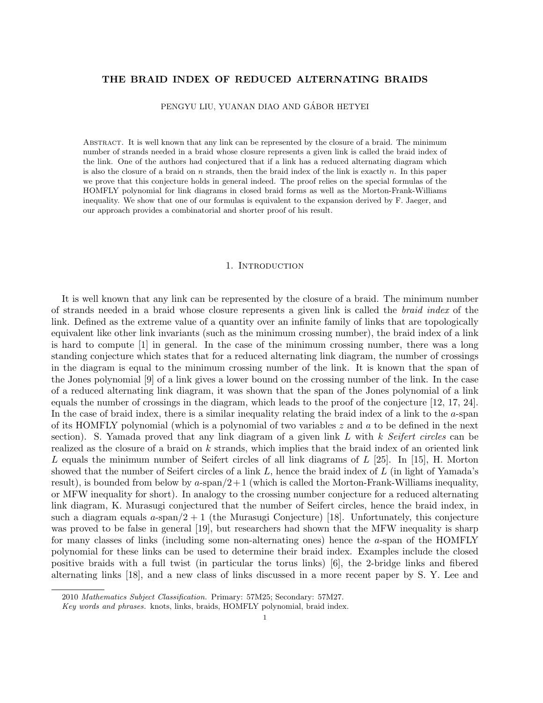# THE BRAID INDEX OF REDUCED ALTERNATING BRAIDS

PENGYU LIU, YUANAN DIAO AND GÁBOR HETYEI

ABSTRACT. It is well known that any link can be represented by the closure of a braid. The minimum number of strands needed in a braid whose closure represents a given link is called the braid index of the link. One of the authors had conjectured that if a link has a reduced alternating diagram which is also the closure of a braid on  $n$  strands, then the braid index of the link is exactly  $n$ . In this paper we prove that this conjecture holds in general indeed. The proof relies on the special formulas of the HOMFLY polynomial for link diagrams in closed braid forms as well as the Morton-Frank-Williams inequality. We show that one of our formulas is equivalent to the expansion derived by F. Jaeger, and our approach provides a combinatorial and shorter proof of his result.

### 1. Introduction

It is well known that any link can be represented by the closure of a braid. The minimum number of strands needed in a braid whose closure represents a given link is called the braid index of the link. Defined as the extreme value of a quantity over an infinite family of links that are topologically equivalent like other link invariants (such as the minimum crossing number), the braid index of a link is hard to compute [1] in general. In the case of the minimum crossing number, there was a long standing conjecture which states that for a reduced alternating link diagram, the number of crossings in the diagram is equal to the minimum crossing number of the link. It is known that the span of the Jones polynomial [9] of a link gives a lower bound on the crossing number of the link. In the case of a reduced alternating link diagram, it was shown that the span of the Jones polynomial of a link equals the number of crossings in the diagram, which leads to the proof of the conjecture [12, 17, 24]. In the case of braid index, there is a similar inequality relating the braid index of a link to the a-span of its HOMFLY polynomial (which is a polynomial of two variables  $z$  and  $a$  to be defined in the next section). S. Yamada proved that any link diagram of a given link  $L$  with  $k$  Seifert circles can be realized as the closure of a braid on k strands, which implies that the braid index of an oriented link L equals the minimum number of Seifert circles of all link diagrams of  $L$  [25]. In [15], H. Morton showed that the number of Seifert circles of a link  $L$ , hence the braid index of  $L$  (in light of Yamada's result), is bounded from below by  $a$ -span $/2+1$  (which is called the Morton-Frank-Williams inequality, or MFW inequality for short). In analogy to the crossing number conjecture for a reduced alternating link diagram, K. Murasugi conjectured that the number of Seifert circles, hence the braid index, in such a diagram equals  $a$ -span $/2 + 1$  (the Murasugi Conjecture) [18]. Unfortunately, this conjecture was proved to be false in general [19], but researchers had shown that the MFW inequality is sharp for many classes of links (including some non-alternating ones) hence the a-span of the HOMFLY polynomial for these links can be used to determine their braid index. Examples include the closed positive braids with a full twist (in particular the torus links) [6], the 2-bridge links and fibered alternating links [18], and a new class of links discussed in a more recent paper by S. Y. Lee and

<sup>2010</sup> Mathematics Subject Classification. Primary: 57M25; Secondary: 57M27.

Key words and phrases. knots, links, braids, HOMFLY polynomial, braid index.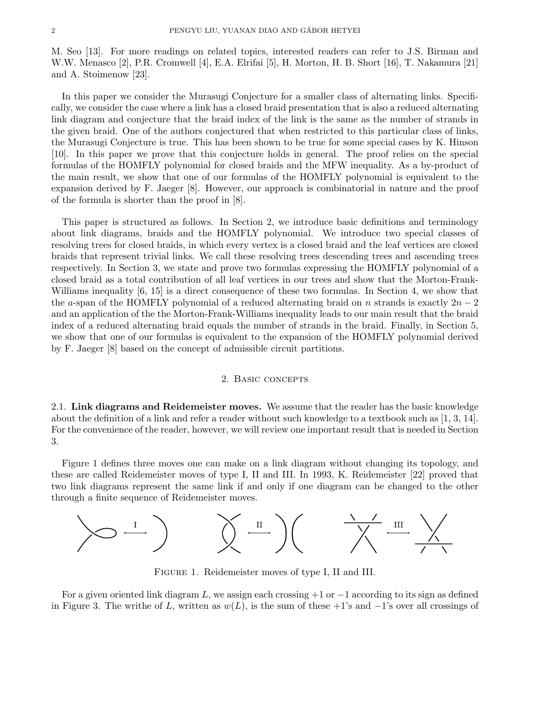M. Seo [13]. For more readings on related topics, interested readers can refer to J.S. Birman and W.W. Menasco [2], P.R. Cromwell [4], E.A. Elrifai [5], H. Morton, H. B. Short [16], T. Nakamura [21] and A. Stoimenow [23].

In this paper we consider the Murasugi Conjecture for a smaller class of alternating links. Specifically, we consider the case where a link has a closed braid presentation that is also a reduced alternating link diagram and conjecture that the braid index of the link is the same as the number of strands in the given braid. One of the authors conjectured that when restricted to this particular class of links, the Murasugi Conjecture is true. This has been shown to be true for some special cases by K. Hinson [10]. In this paper we prove that this conjecture holds in general. The proof relies on the special formulas of the HOMFLY polynomial for closed braids and the MFW inequality. As a by-product of the main result, we show that one of our formulas of the HOMFLY polynomial is equivalent to the expansion derived by F. Jaeger [8]. However, our approach is combinatorial in nature and the proof of the formula is shorter than the proof in [8].

This paper is structured as follows. In Section 2, we introduce basic definitions and terminology about link diagrams, braids and the HOMFLY polynomial. We introduce two special classes of resolving trees for closed braids, in which every vertex is a closed braid and the leaf vertices are closed braids that represent trivial links. We call these resolving trees descending trees and ascending trees respectively. In Section 3, we state and prove two formulas expressing the HOMFLY polynomial of a closed braid as a total contribution of all leaf vertices in our trees and show that the Morton-Frank-Williams inequality  $[6, 15]$  is a direct consequence of these two formulas. In Section 4, we show that the a-span of the HOMFLY polynomial of a reduced alternating braid on n strands is exactly  $2n-2$ and an application of the the Morton-Frank-Williams inequality leads to our main result that the braid index of a reduced alternating braid equals the number of strands in the braid. Finally, in Section 5, we show that one of our formulas is equivalent to the expansion of the HOMFLY polynomial derived by F. Jaeger [8] based on the concept of admissible circuit partitions.

## 2. Basic concepts

2.1. Link diagrams and Reidemeister moves. We assume that the reader has the basic knowledge about the definition of a link and refer a reader without such knowledge to a textbook such as [1, 3, 14]. For the convenience of the reader, however, we will review one important result that is needed in Section 3.

Figure 1 defines three moves one can make on a link diagram without changing its topology, and these are called Reidemeister moves of type I, II and III. In 1993, K. Reidemeister [22] proved that two link diagrams represent the same link if and only if one diagram can be changed to the other through a finite sequence of Reidemeister moves.



Figure 1. Reidemeister moves of type I, II and III.

For a given oriented link diagram L, we assign each crossing  $+1$  or  $-1$  according to its sign as defined in Figure 3. The written  $(f L)$ , written as  $w(L)$ , is the sum of these +1's and  $-1$ 's over all crossings of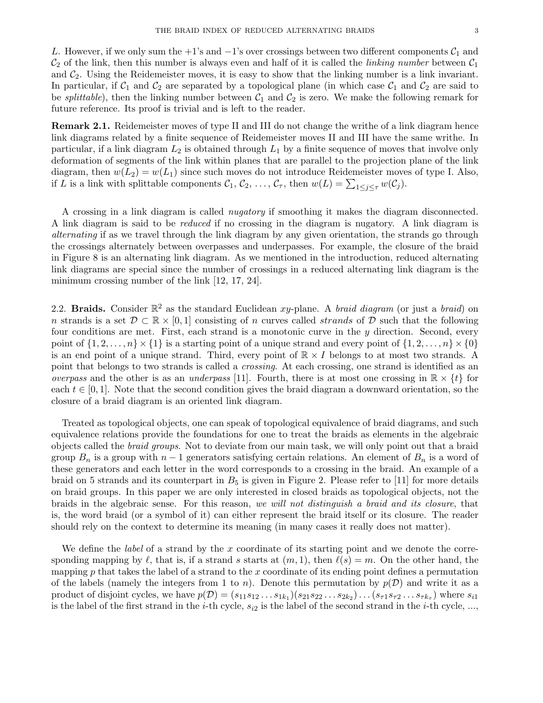L. However, if we only sum the +1's and  $-1$ 's over crossings between two different components  $C_1$  and  $\mathcal{C}_2$  of the link, then this number is always even and half of it is called the *linking number* between  $\mathcal{C}_1$ and  $C_2$ . Using the Reidemeister moves, it is easy to show that the linking number is a link invariant. In particular, if  $C_1$  and  $C_2$  are separated by a topological plane (in which case  $C_1$  and  $C_2$  are said to be *splittable*), then the linking number between  $C_1$  and  $C_2$  is zero. We make the following remark for future reference. Its proof is trivial and is left to the reader.

Remark 2.1. Reidemeister moves of type II and III do not change the writhe of a link diagram hence link diagrams related by a finite sequence of Reidemeister moves II and III have the same writhe. In particular, if a link diagram  $L_2$  is obtained through  $L_1$  by a finite sequence of moves that involve only deformation of segments of the link within planes that are parallel to the projection plane of the link diagram, then  $w(L_2) = w(L_1)$  since such moves do not introduce Reidemeister moves of type I. Also, if L is a link with splittable components  $C_1, C_2, \ldots, C_{\tau}$ , then  $w(L) = \sum_{1 \leq j \leq \tau} w(C_j)$ .

A crossing in a link diagram is called nugatory if smoothing it makes the diagram disconnected. A link diagram is said to be reduced if no crossing in the diagram is nugatory. A link diagram is alternating if as we travel through the link diagram by any given orientation, the strands go through the crossings alternately between overpasses and underpasses. For example, the closure of the braid in Figure 8 is an alternating link diagram. As we mentioned in the introduction, reduced alternating link diagrams are special since the number of crossings in a reduced alternating link diagram is the minimum crossing number of the link [12, 17, 24].

2.2. Braids. Consider  $\mathbb{R}^2$  as the standard Euclidean xy-plane. A *braid diagram* (or just a *braid*) on n strands is a set  $\mathcal{D} \subset \mathbb{R} \times [0, 1]$  consisting of n curves called *strands* of  $\mathcal{D}$  such that the following four conditions are met. First, each strand is a monotonic curve in the y direction. Second, every point of  $\{1, 2, \ldots, n\} \times \{1\}$  is a starting point of a unique strand and every point of  $\{1, 2, \ldots, n\} \times \{0\}$ is an end point of a unique strand. Third, every point of  $\mathbb{R} \times I$  belongs to at most two strands. A point that belongs to two strands is called a crossing. At each crossing, one strand is identified as an *overpass* and the other is as an *underpass* [11]. Fourth, there is at most one crossing in  $\mathbb{R} \times \{t\}$  for each  $t \in [0, 1]$ . Note that the second condition gives the braid diagram a downward orientation, so the closure of a braid diagram is an oriented link diagram.

Treated as topological objects, one can speak of topological equivalence of braid diagrams, and such equivalence relations provide the foundations for one to treat the braids as elements in the algebraic objects called the braid groups. Not to deviate from our main task, we will only point out that a braid group  $B_n$  is a group with  $n-1$  generators satisfying certain relations. An element of  $B_n$  is a word of these generators and each letter in the word corresponds to a crossing in the braid. An example of a braid on 5 strands and its counterpart in  $B_5$  is given in Figure 2. Please refer to [11] for more details on braid groups. In this paper we are only interested in closed braids as topological objects, not the braids in the algebraic sense. For this reason, we will not distinguish a braid and its closure, that is, the word braid (or a symbol of it) can either represent the braid itself or its closure. The reader should rely on the context to determine its meaning (in many cases it really does not matter).

We define the *label* of a strand by the  $x$  coordinate of its starting point and we denote the corresponding mapping by  $\ell$ , that is, if a strand s starts at  $(m, 1)$ , then  $\ell(s) = m$ . On the other hand, the mapping p that takes the label of a strand to the x coordinate of its ending point defines a permutation of the labels (namely the integers from 1 to n). Denote this permutation by  $p(\mathcal{D})$  and write it as a product of disjoint cycles, we have  $p(\mathcal{D}) = (s_{11}s_{12}\ldots s_{1k_1})(s_{21}s_{22}\ldots s_{2k_2})\ldots(s_{\tau1}s_{\tau2}\ldots s_{\tau k_{\tau}})$  where  $s_{i1}$ is the label of the first strand in the *i*-th cycle,  $s_{i2}$  is the label of the second strand in the *i*-th cycle, ...,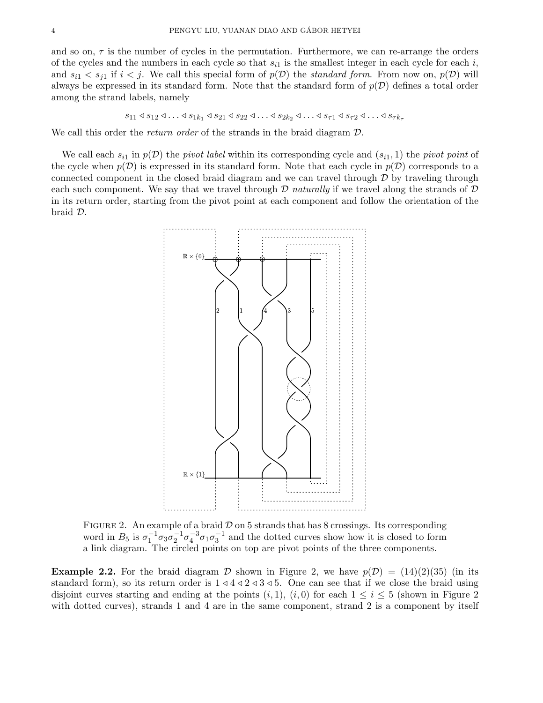and so on,  $\tau$  is the number of cycles in the permutation. Furthermore, we can re-arrange the orders of the cycles and the numbers in each cycle so that  $s_{i1}$  is the smallest integer in each cycle for each i, and  $s_{i1} < s_{j1}$  if  $i < j$ . We call this special form of  $p(\mathcal{D})$  the *standard form*. From now on,  $p(\mathcal{D})$  will always be expressed in its standard form. Note that the standard form of  $p(\mathcal{D})$  defines a total order among the strand labels, namely

$$
s_{11} \triangleleft s_{12} \triangleleft \ldots \triangleleft s_{1k_1} \triangleleft s_{21} \triangleleft s_{22} \triangleleft \ldots \triangleleft s_{2k_2} \triangleleft \ldots \triangleleft s_{\tau 1} \triangleleft s_{\tau 2} \triangleleft \ldots \triangleleft s_{\tau k_{\tau}}
$$

We call this order the *return order* of the strands in the braid diagram  $\mathcal{D}$ .

We call each  $s_{i1}$  in  $p(\mathcal{D})$  the pivot label within its corresponding cycle and  $(s_{i1}, 1)$  the pivot point of the cycle when  $p(\mathcal{D})$  is expressed in its standard form. Note that each cycle in  $p(\mathcal{D})$  corresponds to a connected component in the closed braid diagram and we can travel through  $D$  by traveling through each such component. We say that we travel through  $D$  naturally if we travel along the strands of  $D$ in its return order, starting from the pivot point at each component and follow the orientation of the braid D.



FIGURE 2. An example of a braid  $\mathcal D$  on 5 strands that has 8 crossings. Its corresponding word in  $B_5$  is  $\sigma_1^{-1}\sigma_3\sigma_2^{-1}\sigma_4^{-3}\sigma_1\sigma_3^{-1}$  and the dotted curves show how it is closed to form a link diagram. The circled points on top are pivot points of the three components.

**Example 2.2.** For the braid diagram D shown in Figure 2, we have  $p(\mathcal{D}) = (14)(2)(35)$  (in its standard form), so its return order is  $1 \triangleleft 4 \triangleleft 2 \triangleleft 3 \triangleleft 5$ . One can see that if we close the braid using disjoint curves starting and ending at the points  $(i, 1)$ ,  $(i, 0)$  for each  $1 \le i \le 5$  (shown in Figure 2) with dotted curves), strands 1 and 4 are in the same component, strand 2 is a component by itself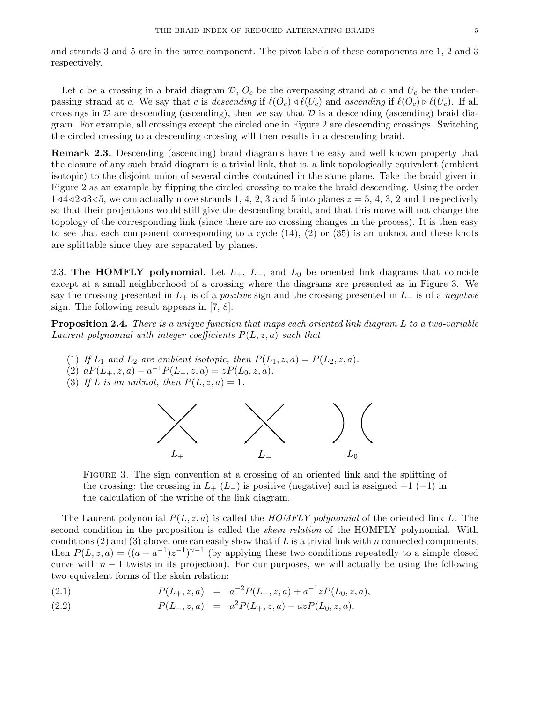and strands 3 and 5 are in the same component. The pivot labels of these components are 1, 2 and 3 respectively.

Let c be a crossing in a braid diagram  $\mathcal{D}$ ,  $O_c$  be the overpassing strand at c and  $U_c$  be the underpassing strand at c. We say that c is descending if  $\ell(O_c) \triangleleft \ell(U_c)$  and ascending if  $\ell(O_c) \triangleright \ell(U_c)$ . If all crossings in  $\mathcal D$  are descending (ascending), then we say that  $\mathcal D$  is a descending (ascending) braid diagram. For example, all crossings except the circled one in Figure 2 are descending crossings. Switching the circled crossing to a descending crossing will then results in a descending braid.

Remark 2.3. Descending (ascending) braid diagrams have the easy and well known property that the closure of any such braid diagram is a trivial link, that is, a link topologically equivalent (ambient isotopic) to the disjoint union of several circles contained in the same plane. Take the braid given in Figure 2 as an example by flipping the circled crossing to make the braid descending. Using the order  $1\le 4\le 2\le 3\le 5$ , we can actually move strands 1, 4, 2, 3 and 5 into planes  $z=5, 4, 3, 2$  and 1 respectively so that their projections would still give the descending braid, and that this move will not change the topology of the corresponding link (since there are no crossing changes in the process). It is then easy to see that each component corresponding to a cycle (14), (2) or (35) is an unknot and these knots are splittable since they are separated by planes.

2.3. The HOMFLY polynomial. Let  $L_+$ ,  $L_-$ , and  $L_0$  be oriented link diagrams that coincide except at a small neighborhood of a crossing where the diagrams are presented as in Figure 3. We say the crossing presented in  $L_+$  is of a *positive* sign and the crossing presented in  $L_-$  is of a *negative* sign. The following result appears in [7, 8].

**Proposition 2.4.** There is a unique function that maps each oriented link diagram L to a two-variable Laurent polynomial with integer coefficients  $P(L, z, a)$  such that

- (1) If  $L_1$  and  $L_2$  are ambient isotopic, then  $P(L_1, z, a) = P(L_2, z, a)$ .
- (2)  $aP(L_+, z, a) a^{-1}P(L_-, z, a) = zP(L_0, z, a).$
- (3) If L is an unknot, then  $P(L, z, a) = 1$ .



Figure 3. The sign convention at a crossing of an oriented link and the splitting of the crossing: the crossing in  $L_{+}$  ( $L_{-}$ ) is positive (negative) and is assigned +1 (-1) in the calculation of the writhe of the link diagram.

The Laurent polynomial  $P(L, z, a)$  is called the HOMFLY polynomial of the oriented link L. The second condition in the proposition is called the *skein relation* of the HOMFLY polynomial. With conditions  $(2)$  and  $(3)$  above, one can easily show that if L is a trivial link with n connected components, then  $P(L, z, a) = ((a - a^{-1})z^{-1})^{n-1}$  (by applying these two conditions repeatedly to a simple closed curve with  $n - 1$  twists in its projection). For our purposes, we will actually be using the following two equivalent forms of the skein relation:

(2.1) 
$$
P(L_+, z, a) = a^{-2} P(L_-, z, a) + a^{-1} z P(L_0, z, a),
$$

(2.2) 
$$
P(L_-, z, a) = a^2 P(L_+, z, a) - a z P(L_0, z, a).
$$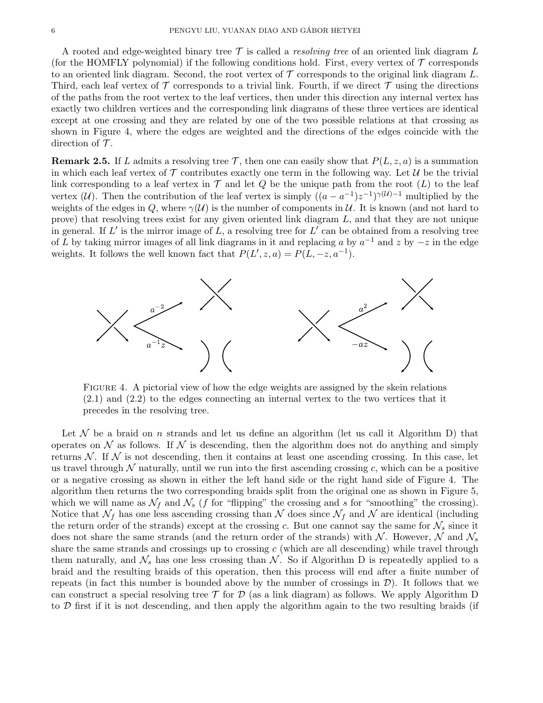A rooted and edge-weighted binary tree  $\mathcal T$  is called a *resolving tree* of an oriented link diagram L (for the HOMFLY polynomial) if the following conditions hold. First, every vertex of  $\mathcal T$  corresponds to an oriented link diagram. Second, the root vertex of  $\mathcal T$  corresponds to the original link diagram L. Third, each leaf vertex of  $\mathcal T$  corresponds to a trivial link. Fourth, if we direct  $\mathcal T$  using the directions of the paths from the root vertex to the leaf vertices, then under this direction any internal vertex has exactly two children vertices and the corresponding link diagrams of these three vertices are identical except at one crossing and they are related by one of the two possible relations at that crossing as shown in Figure 4, where the edges are weighted and the directions of the edges coincide with the direction of  $\mathcal T$ .

**Remark 2.5.** If L admits a resolving tree  $\mathcal{T}$ , then one can easily show that  $P(L, z, a)$  is a summation in which each leaf vertex of  $\mathcal T$  contributes exactly one term in the following way. Let  $\mathcal U$  be the trivial link corresponding to a leaf vertex in  $\mathcal T$  and let  $Q$  be the unique path from the root  $(L)$  to the leaf vertex (U). Then the contribution of the leaf vertex is simply  $((a - a^{-1})z^{-1})^{\gamma(U)-1}$  multiplied by the weights of the edges in Q, where  $\gamma(\mathcal{U})$  is the number of components in  $\mathcal{U}$ . It is known (and not hard to prove) that resolving trees exist for any given oriented link diagram L, and that they are not unique in general. If  $L'$  is the mirror image of  $L$ , a resolving tree for  $L'$  can be obtained from a resolving tree of L by taking mirror images of all link diagrams in it and replacing a by  $a^{-1}$  and z by  $-z$  in the edge weights. It follows the well known fact that  $P(L', z, a) = P(L, -z, a^{-1}).$ 



Figure 4. A pictorial view of how the edge weights are assigned by the skein relations  $(2.1)$  and  $(2.2)$  to the edges connecting an internal vertex to the two vertices that it precedes in the resolving tree.

Let  $\mathcal N$  be a braid on n strands and let us define an algorithm (let us call it Algorithm D) that operates on  $\mathcal N$  as follows. If  $\mathcal N$  is descending, then the algorithm does not do anything and simply returns  $\mathcal N$ . If  $\mathcal N$  is not descending, then it contains at least one ascending crossing. In this case, let us travel through  $\mathcal N$  naturally, until we run into the first ascending crossing c, which can be a positive or a negative crossing as shown in either the left hand side or the right hand side of Figure 4. The algorithm then returns the two corresponding braids split from the original one as shown in Figure 5, which we will name as  $\mathcal{N}_f$  and  $\mathcal{N}_s$  (f for "flipping" the crossing and s for "smoothing" the crossing). Notice that  $\mathcal{N}_f$  has one less ascending crossing than N does since  $\mathcal{N}_f$  and N are identical (including the return order of the strands) except at the crossing c. But one cannot say the same for  $\mathcal{N}_s$  since it does not share the same strands (and the return order of the strands) with  $N$ . However, N and  $\mathcal{N}_s$ share the same strands and crossings up to crossing  $c$  (which are all descending) while travel through them naturally, and  $\mathcal{N}_s$  has one less crossing than  $\mathcal{N}$ . So if Algorithm D is repeatedly applied to a braid and the resulting braids of this operation, then this process will end after a finite number of repeats (in fact this number is bounded above by the number of crossings in  $\mathcal{D}$ ). It follows that we can construct a special resolving tree  $\mathcal T$  for  $\mathcal D$  (as a link diagram) as follows. We apply Algorithm D to  $\mathcal D$  first if it is not descending, and then apply the algorithm again to the two resulting braids (if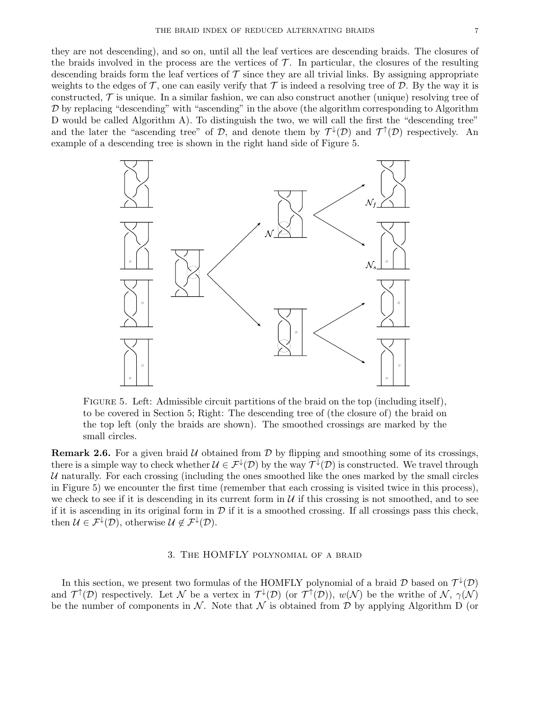they are not descending), and so on, until all the leaf vertices are descending braids. The closures of the braids involved in the process are the vertices of  $\mathcal{T}$ . In particular, the closures of the resulting descending braids form the leaf vertices of  $\mathcal T$  since they are all trivial links. By assigning appropriate weights to the edges of  $\mathcal T$ , one can easily verify that  $\mathcal T$  is indeed a resolving tree of  $\mathcal D$ . By the way it is constructed,  $\mathcal T$  is unique. In a similar fashion, we can also construct another (unique) resolving tree of  $D$  by replacing "descending" with "ascending" in the above (the algorithm corresponding to Algorithm D would be called Algorithm A). To distinguish the two, we will call the first the "descending tree" and the later the "ascending tree" of D, and denote them by  $\mathcal{T}^{\downarrow}(\mathcal{D})$  and  $\mathcal{T}^{\uparrow}(\mathcal{D})$  respectively. An example of a descending tree is shown in the right hand side of Figure 5.



Figure 5. Left: Admissible circuit partitions of the braid on the top (including itself), to be covered in Section 5; Right: The descending tree of (the closure of) the braid on the top left (only the braids are shown). The smoothed crossings are marked by the small circles.

**Remark 2.6.** For a given braid  $U$  obtained from  $D$  by flipping and smoothing some of its crossings, there is a simple way to check whether  $\mathcal{U} \in \mathcal{F}^{\downarrow}(\mathcal{D})$  by the way  $\mathcal{T}^{\downarrow}(\mathcal{D})$  is constructed. We travel through U naturally. For each crossing (including the ones smoothed like the ones marked by the small circles in Figure 5) we encounter the first time (remember that each crossing is visited twice in this process), we check to see if it is descending in its current form in  $\mathcal U$  if this crossing is not smoothed, and to see if it is ascending in its original form in  $D$  if it is a smoothed crossing. If all crossings pass this check, then  $\mathcal{U} \in \mathcal{F}^{\downarrow}(\mathcal{D})$ , otherwise  $\mathcal{U} \notin \mathcal{F}^{\downarrow}(\mathcal{D})$ .

## 3. The HOMFLY polynomial of a braid

In this section, we present two formulas of the HOMFLY polynomial of a braid  $\mathcal D$  based on  $\mathcal T^\downarrow(\mathcal D)$ and  $\mathcal{T}^{\uparrow}(\mathcal{D})$  respectively. Let N be a vertex in  $\mathcal{T}^{\downarrow}(\mathcal{D})$  (or  $\mathcal{T}^{\uparrow}(\mathcal{D})$ ),  $w(\mathcal{N})$  be the writhe of N,  $\gamma(\mathcal{N})$ be the number of components in N. Note that N is obtained from D by applying Algorithm D (or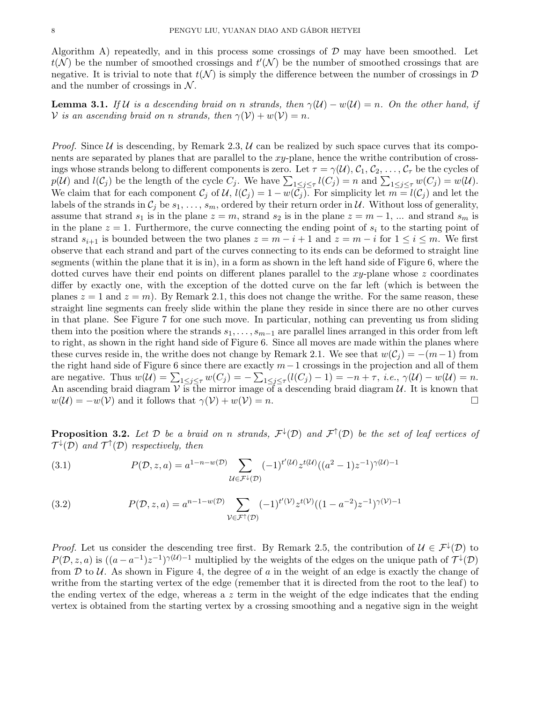Algorithm A) repeatedly, and in this process some crossings of  $D$  may have been smoothed. Let  $t(N)$  be the number of smoothed crossings and  $t'(N)$  be the number of smoothed crossings that are negative. It is trivial to note that  $t(\mathcal{N})$  is simply the difference between the number of crossings in  $\mathcal{D}$ and the number of crossings in  $\mathcal N$ .

**Lemma 3.1.** If U is a descending braid on n strands, then  $\gamma(\mathcal{U}) - w(\mathcal{U}) = n$ . On the other hand, if V is an ascending braid on n strands, then  $\gamma(\mathcal{V}) + w(\mathcal{V}) = n$ .

*Proof.* Since  $U$  is descending, by Remark 2.3,  $U$  can be realized by such space curves that its components are separated by planes that are parallel to the xy-plane, hence the writhe contribution of crossings whose strands belong to different components is zero. Let  $\tau = \gamma(\mathcal{U}), \mathcal{C}_1, \mathcal{C}_2, \ldots, \mathcal{C}_{\tau}$  be the cycles of  $p(\mathcal{U})$  and  $l(\mathcal{C}_j)$  be the length of the cycle  $C_j$ . We have  $\sum_{1 \leq j \leq \tau} l(C_j) = n$  and  $\sum_{1 \leq j \leq \tau} w(C_j) = w(\mathcal{U})$ . We claim that for each component  $\mathcal{C}_j$  of  $\mathcal{U}, l(\mathcal{C}_j) = 1 - w(\mathcal{C}_j)$ . For simplicity let  $m = l(\mathcal{C}_j)$  and let the labels of the strands in  $C_i$  be  $s_1, \ldots, s_m$ , ordered by their return order in U. Without loss of generality, assume that strand  $s_1$  is in the plane  $z = m$ , strand  $s_2$  is in the plane  $z = m - 1$ , ... and strand  $s_m$  is in the plane  $z = 1$ . Furthermore, the curve connecting the ending point of  $s_i$  to the starting point of strand  $s_{i+1}$  is bounded between the two planes  $z = m - i + 1$  and  $z = m - i$  for  $1 \le i \le m$ . We first observe that each strand and part of the curves connecting to its ends can be deformed to straight line segments (within the plane that it is in), in a form as shown in the left hand side of Figure 6, where the dotted curves have their end points on different planes parallel to the  $xy$ -plane whose z coordinates differ by exactly one, with the exception of the dotted curve on the far left (which is between the planes  $z = 1$  and  $z = m$ ). By Remark 2.1, this does not change the writhe. For the same reason, these straight line segments can freely slide within the plane they reside in since there are no other curves in that plane. See Figure 7 for one such move. In particular, nothing can preventing us from sliding them into the position where the strands  $s_1, \ldots, s_{m-1}$  are parallel lines arranged in this order from left to right, as shown in the right hand side of Figure 6. Since all moves are made within the planes where these curves reside in, the writhe does not change by Remark 2.1. We see that  $w(C_i) = -(m-1)$  from the right hand side of Figure 6 since there are exactly  $m-1$  crossings in the projection and all of them are negative. Thus  $w(\mathcal{U}) = \sum_{1 \leq j \leq \tau} w(C_j) = -\sum_{1 \leq j \leq \tau} (l(C_j) - 1) = -n + \tau$ , *i.e.*,  $\gamma(\mathcal{U}) - w(\mathcal{U}) = n$ . An ascending braid diagram  $V$  is the mirror image of a descending braid diagram  $U$ . It is known that  $w(\mathcal{U}) = -w(\mathcal{V})$  and it follows that  $\gamma(\mathcal{V}) + w(\mathcal{V}) = n$ .

**Proposition 3.2.** Let  $D$  be a braid on n strands,  $\mathcal{F}^{\downarrow}(D)$  and  $\mathcal{F}^{\uparrow}(D)$  be the set of leaf vertices of  $\mathcal{T}^{\downarrow}(\mathcal{D})$  and  $\mathcal{T}^{\uparrow}(\mathcal{D})$  respectively, then

(3.1) 
$$
P(\mathcal{D}, z, a) = a^{1-n-w(\mathcal{D})} \sum_{\mathcal{U} \in \mathcal{F}^{\downarrow}(\mathcal{D})} (-1)^{t'(\mathcal{U})} z^{t(\mathcal{U})} ((a^2 - 1)z^{-1})^{\gamma(\mathcal{U}) - 1}
$$

(3.2) 
$$
P(\mathcal{D}, z, a) = a^{n-1-w(\mathcal{D})} \sum_{\mathcal{V} \in \mathcal{F}^{\dagger}(\mathcal{D})} (-1)^{t'(\mathcal{V})} z^{t(\mathcal{V})} ((1 - a^{-2}) z^{-1})^{\gamma(\mathcal{V}) - 1}
$$

*Proof.* Let us consider the descending tree first. By Remark 2.5, the contribution of  $\mathcal{U} \in \mathcal{F}^{\downarrow}(\mathcal{D})$  to  $P(D, z, a)$  is  $((a - a^{-1})z^{-1})^{\gamma(U)-1}$  multiplied by the weights of the edges on the unique path of  $\mathcal{T}^{\downarrow}(D)$ from  $\mathcal D$  to  $\mathcal U$ . As shown in Figure 4, the degree of a in the weight of an edge is exactly the change of writhe from the starting vertex of the edge (remember that it is directed from the root to the leaf) to the ending vertex of the edge, whereas a  $z$  term in the weight of the edge indicates that the ending vertex is obtained from the starting vertex by a crossing smoothing and a negative sign in the weight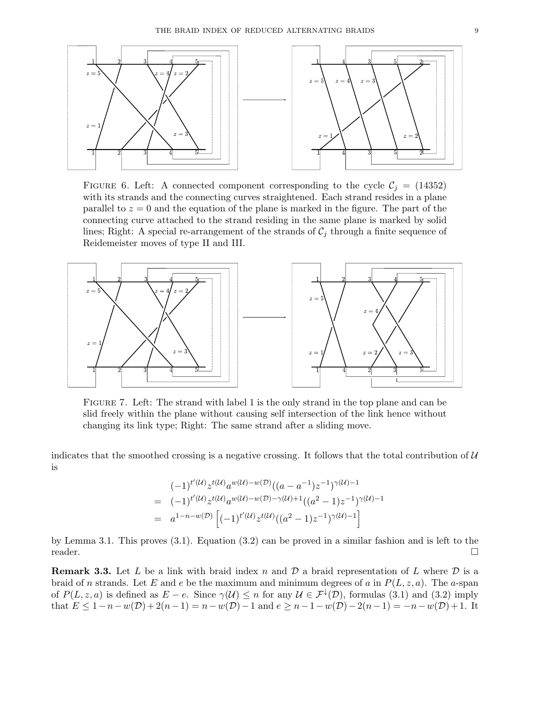

FIGURE 6. Left: A connected component corresponding to the cycle  $C_i = (14352)$ with its strands and the connecting curves straightened. Each strand resides in a plane parallel to  $z = 0$  and the equation of the plane is marked in the figure. The part of the connecting curve attached to the strand residing in the same plane is marked by solid lines; Right: A special re-arrangement of the strands of  $C_j$  through a finite sequence of Reidemeister moves of type II and III.



Figure 7. Left: The strand with label 1 is the only strand in the top plane and can be slid freely within the plane without causing self intersection of the link hence without changing its link type; Right: The same strand after a sliding move.

indicates that the smoothed crossing is a negative crossing. It follows that the total contribution of  $\mathcal U$ is

$$
(-1)^{t'(U)} z^{t(U)} a^{w(U)-w(D)} ((a - a^{-1}) z^{-1})^{\gamma(U)-1}
$$
  
= 
$$
(-1)^{t'(U)} z^{t(U)} a^{w(U)-w(D)-\gamma(U)+1} ((a^2 - 1) z^{-1})^{\gamma(U)-1}
$$
  
= 
$$
a^{1-n-w(D)} \left[ (-1)^{t'(U)} z^{t(U)} ((a^2 - 1) z^{-1})^{\gamma(U)-1} \right]
$$

by Lemma 3.1. This proves (3.1). Equation (3.2) can be proved in a similar fashion and is left to the reader.

**Remark 3.3.** Let L be a link with braid index n and D a braid representation of L where D is a braid of n strands. Let E and e be the maximum and minimum degrees of a in  $P(L, z, a)$ . The a-span of  $P(L, z, a)$  is defined as  $E - e$ . Since  $\gamma(\mathcal{U}) \leq n$  for any  $\mathcal{U} \in \mathcal{F}^{\downarrow}(\mathcal{D})$ , formulas (3.1) and (3.2) imply that  $E \le 1 - n - w(\mathcal{D}) + 2(n-1) = n - w(\mathcal{D}) - 1$  and  $e \ge n - 1 - w(\mathcal{D}) - 2(n-1) = -n - w(\mathcal{D}) + 1$ . It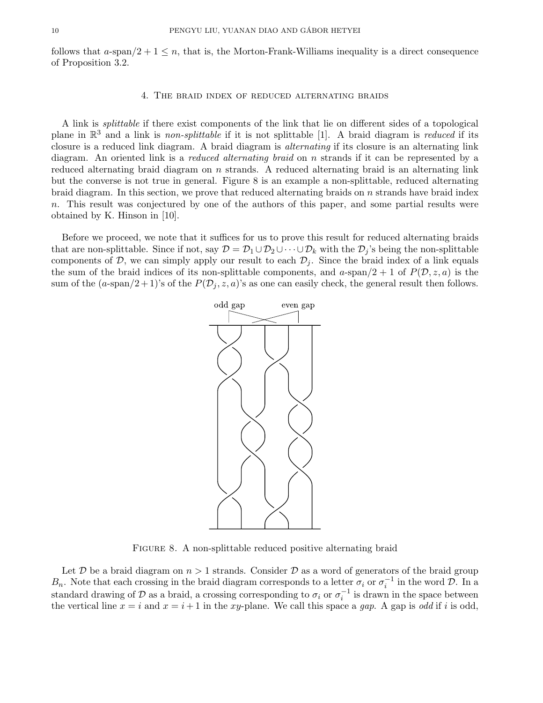follows that a-span $/2 + 1 \leq n$ , that is, the Morton-Frank-Williams inequality is a direct consequence of Proposition 3.2.

#### 4. The braid index of reduced alternating braids

A link is splittable if there exist components of the link that lie on different sides of a topological plane in  $\mathbb{R}^3$  and a link is non-splittable if it is not splittable [1]. A braid diagram is reduced if its closure is a reduced link diagram. A braid diagram is alternating if its closure is an alternating link diagram. An oriented link is a *reduced alternating braid* on *n* strands if it can be represented by a reduced alternating braid diagram on  $n$  strands. A reduced alternating braid is an alternating link but the converse is not true in general. Figure 8 is an example a non-splittable, reduced alternating braid diagram. In this section, we prove that reduced alternating braids on  $n$  strands have braid index n. This result was conjectured by one of the authors of this paper, and some partial results were obtained by K. Hinson in [10].

Before we proceed, we note that it suffices for us to prove this result for reduced alternating braids that are non-splittable. Since if not, say  $\mathcal{D} = \mathcal{D}_1 \cup \mathcal{D}_2 \cup \cdots \cup \mathcal{D}_k$  with the  $\mathcal{D}_i$ 's being the non-splittable components of  $D$ , we can simply apply our result to each  $D_i$ . Since the braid index of a link equals the sum of the braid indices of its non-splittable components, and a-span $/2 + 1$  of  $P(D, z, a)$  is the sum of the  $(a\text{-span}/2+1)$ 's of the  $P(\mathcal{D}_j, z, a)$ 's as one can easily check, the general result then follows.



FIGURE 8. A non-splittable reduced positive alternating braid

Let D be a braid diagram on  $n > 1$  strands. Consider D as a word of generators of the braid group  $B_n$ . Note that each crossing in the braid diagram corresponds to a letter  $\sigma_i$  or  $\sigma_i^{-1}$  in the word  $\mathcal{D}$ . In a standard drawing of D as a braid, a crossing corresponding to  $\sigma_i$  or  $\sigma_i^{-1}$  is drawn in the space between the vertical line  $x = i$  and  $x = i + 1$  in the xy-plane. We call this space a gap. A gap is odd if i is odd,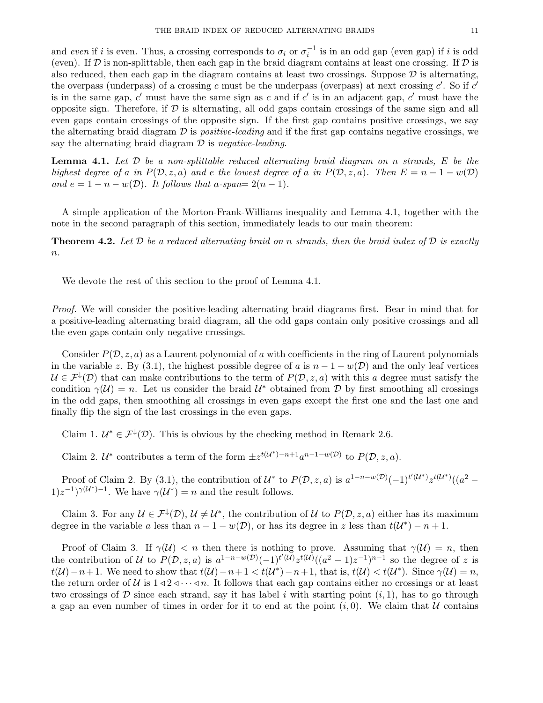and even if i is even. Thus, a crossing corresponds to  $\sigma_i$  or  $\sigma_i^{-1}$  is in an odd gap (even gap) if i is odd (even). If  $D$  is non-splittable, then each gap in the braid diagram contains at least one crossing. If  $D$  is also reduced, then each gap in the diagram contains at least two crossings. Suppose  $\mathcal D$  is alternating, the overpass (underpass) of a crossing c must be the underpass (overpass) at next crossing  $c'$ . So if  $c'$ is in the same gap,  $c'$  must have the same sign as c and if  $c'$  is in an adjacent gap,  $c'$  must have the opposite sign. Therefore, if  $D$  is alternating, all odd gaps contain crossings of the same sign and all even gaps contain crossings of the opposite sign. If the first gap contains positive crossings, we say the alternating braid diagram  $\mathcal D$  is *positive-leading* and if the first gap contains negative crossings, we say the alternating braid diagram  $\mathcal D$  is negative-leading.

**Lemma 4.1.** Let  $D$  be a non-splittable reduced alternating braid diagram on n strands,  $E$  be the highest degree of a in  $P(D, z, a)$  and e the lowest degree of a in  $P(D, z, a)$ . Then  $E = n - 1 - w(D)$ and  $e = 1 - n - w(D)$ . It follows that a-span=  $2(n - 1)$ .

A simple application of the Morton-Frank-Williams inequality and Lemma 4.1, together with the note in the second paragraph of this section, immediately leads to our main theorem:

**Theorem 4.2.** Let D be a reduced alternating braid on n strands, then the braid index of D is exactly  $n$ .

We devote the rest of this section to the proof of Lemma 4.1.

Proof. We will consider the positive-leading alternating braid diagrams first. Bear in mind that for a positive-leading alternating braid diagram, all the odd gaps contain only positive crossings and all the even gaps contain only negative crossings.

Consider  $P(\mathcal{D}, z, a)$  as a Laurent polynomial of a with coefficients in the ring of Laurent polynomials in the variable z. By (3.1), the highest possible degree of a is  $n - 1 - w(\mathcal{D})$  and the only leaf vertices  $\mathcal{U} \in \mathcal{F}^{\downarrow}(\mathcal{D})$  that can make contributions to the term of  $P(\mathcal{D}, z, a)$  with this a degree must satisfy the condition  $\gamma(\mathcal{U}) = n$ . Let us consider the braid  $\mathcal{U}^*$  obtained from D by first smoothing all crossings in the odd gaps, then smoothing all crossings in even gaps except the first one and the last one and finally flip the sign of the last crossings in the even gaps.

Claim 1.  $\mathcal{U}^* \in \mathcal{F}^{\downarrow}(\mathcal{D})$ . This is obvious by the checking method in Remark 2.6.

Claim 2.  $\mathcal{U}^*$  contributes a term of the form  $\pm z^{t(\mathcal{U}^*)-n+1}a^{n-1-w(\mathcal{D})}$  to  $P(\mathcal{D}, z, a)$ .

Proof of Claim 2. By (3.1), the contribution of  $\mathcal{U}^*$  to  $P(\mathcal{D}, z, a)$  is  $a^{1-n-w(\mathcal{D})}(-1)^{t'(\mathcal{U}^*)}z^{t(\mathcal{U}^*)}((a^2-\mathcal{U}^*)^2)$  $(1)z^{-1}\gamma(\mathcal{U}^*)^{-1}$ . We have  $\gamma(\mathcal{U}^*)=n$  and the result follows.

Claim 3. For any  $\mathcal{U} \in \mathcal{F}^{\downarrow}(\mathcal{D}), \mathcal{U} \neq \mathcal{U}^*$ , the contribution of  $\mathcal{U}$  to  $P(\mathcal{D}, z, a)$  either has its maximum degree in the variable a less than  $n-1-w(D)$ , or has its degree in z less than  $t(\mathcal{U}^*) - n + 1$ .

Proof of Claim 3. If  $\gamma(\mathcal{U}) < n$  then there is nothing to prove. Assuming that  $\gamma(\mathcal{U}) = n$ , then the contribution of U to  $P(D, z, a)$  is  $a^{1-n-w(D)}(-1)^{t'(U)}z^{t(U)}((a^2-1)z^{-1})^{n-1}$  so the degree of z is  $t(\mathcal{U})-n+1$ . We need to show that  $t(\mathcal{U})-n+1 < t(\mathcal{U}^*)-n+1$ , that is,  $t(\mathcal{U}) < t(\mathcal{U}^*)$ . Since  $\gamma(\mathcal{U}) = n$ , the return order of U is  $1 \triangleleft 2 \triangleleft \cdots \triangleleft n$ . It follows that each gap contains either no crossings or at least two crossings of  $D$  since each strand, say it has label i with starting point  $(i, 1)$ , has to go through a gap an even number of times in order for it to end at the point  $(i, 0)$ . We claim that U contains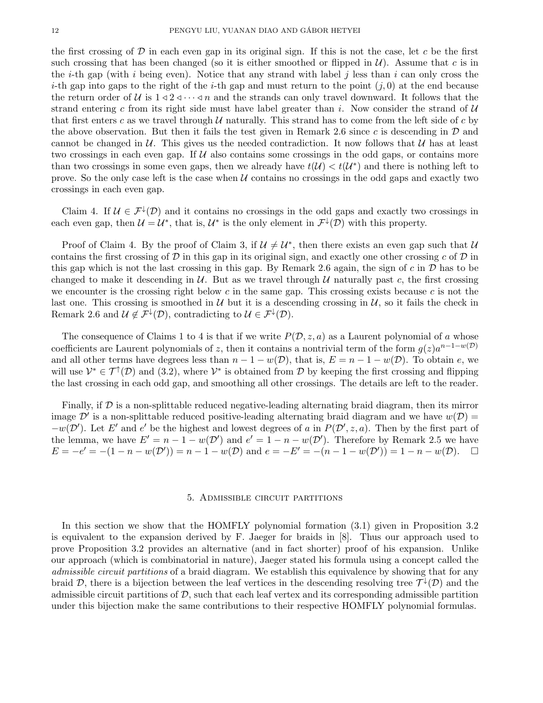the first crossing of  $\mathcal D$  in each even gap in its original sign. If this is not the case, let c be the first such crossing that has been changed (so it is either smoothed or flipped in  $\mathcal{U}$ ). Assume that c is in the *i*-th gap (with *i* being even). Notice that any strand with label *j* less than *i* can only cross the i-th gap into gaps to the right of the i-th gap and must return to the point  $(j, 0)$  at the end because the return order of U is  $1 \triangleleft 2 \triangleleft \cdots \triangleleft n$  and the strands can only travel downward. It follows that the strand entering c from its right side must have label greater than i. Now consider the strand of  $\mathcal{U}$ that first enters c as we travel through  $U$  naturally. This strand has to come from the left side of c by the above observation. But then it fails the test given in Remark 2.6 since c is descending in  $\mathcal D$  and cannot be changed in  $U$ . This gives us the needed contradiction. It now follows that  $U$  has at least two crossings in each even gap. If  $U$  also contains some crossings in the odd gaps, or contains more than two crossings in some even gaps, then we already have  $t(\mathcal{U}) < t(\mathcal{U}^*)$  and there is nothing left to prove. So the only case left is the case when  $U$  contains no crossings in the odd gaps and exactly two crossings in each even gap.

Claim 4. If  $\mathcal{U} \in \mathcal{F}^{\downarrow}(\mathcal{D})$  and it contains no crossings in the odd gaps and exactly two crossings in each even gap, then  $\mathcal{U} = \mathcal{U}^*$ , that is,  $\mathcal{U}^*$  is the only element in  $\mathcal{F}^{\downarrow}(\mathcal{D})$  with this property.

Proof of Claim 4. By the proof of Claim 3, if  $\mathcal{U} \neq \mathcal{U}^*$ , then there exists an even gap such that  $\mathcal{U}$ contains the first crossing of  $\mathcal D$  in this gap in its original sign, and exactly one other crossing c of  $\mathcal D$  in this gap which is not the last crossing in this gap. By Remark 2.6 again, the sign of  $c$  in  $\mathcal D$  has to be changed to make it descending in  $\mathcal{U}$ . But as we travel through  $\mathcal{U}$  naturally past c, the first crossing we encounter is the crossing right below  $c$  in the same gap. This crossing exists because  $c$  is not the last one. This crossing is smoothed in  $U$  but it is a descending crossing in  $U$ , so it fails the check in Remark 2.6 and  $\mathcal{U} \notin \mathcal{F}^{\downarrow}(\mathcal{D})$ , contradicting to  $\mathcal{U} \in \mathcal{F}^{\downarrow}(\mathcal{D})$ .

The consequence of Claims 1 to 4 is that if we write  $P(\mathcal{D}, z, a)$  as a Laurent polynomial of a whose coefficients are Laurent polynomials of z, then it contains a nontrivial term of the form  $g(z)a^{n-1-w(D)}$ and all other terms have degrees less than  $n - 1 - w(D)$ , that is,  $E = n - 1 - w(D)$ . To obtain e, we will use  $\mathcal{V}^* \in \mathcal{T}^{\uparrow}(\mathcal{D})$  and (3.2), where  $\mathcal{V}^*$  is obtained from  $\mathcal{D}$  by keeping the first crossing and flipping the last crossing in each odd gap, and smoothing all other crossings. The details are left to the reader.

Finally, if  $\mathcal D$  is a non-splittable reduced negative-leading alternating braid diagram, then its mirror image  $\mathcal{D}'$  is a non-splittable reduced positive-leading alternating braid diagram and we have  $w(\mathcal{D}) =$  $-w(\mathcal{D}')$ . Let E' and e' be the highest and lowest degrees of a in  $P(\mathcal{D}', z, a)$ . Then by the first part of the lemma, we have  $E' = n - 1 - w(\mathcal{D}')$  and  $e' = 1 - n - w(\mathcal{D}')$ . Therefore by Remark 2.5 we have  $E = -e' = -(1 - n - w(\mathcal{D}')) = n - 1 - w(\mathcal{D})$  and  $e = -E' = -(n - 1 - w(\mathcal{D}')) = 1 - n - w(\mathcal{D})$ .

## 5. Admissible circuit partitions

In this section we show that the HOMFLY polynomial formation (3.1) given in Proposition 3.2 is equivalent to the expansion derived by F. Jaeger for braids in [8]. Thus our approach used to prove Proposition 3.2 provides an alternative (and in fact shorter) proof of his expansion. Unlike our approach (which is combinatorial in nature), Jaeger stated his formula using a concept called the admissible circuit partitions of a braid diagram. We establish this equivalence by showing that for any braid D, there is a bijection between the leaf vertices in the descending resolving tree  $\mathcal{T}^{\downarrow}(\mathcal{D})$  and the admissible circuit partitions of  $D$ , such that each leaf vertex and its corresponding admissible partition under this bijection make the same contributions to their respective HOMFLY polynomial formulas.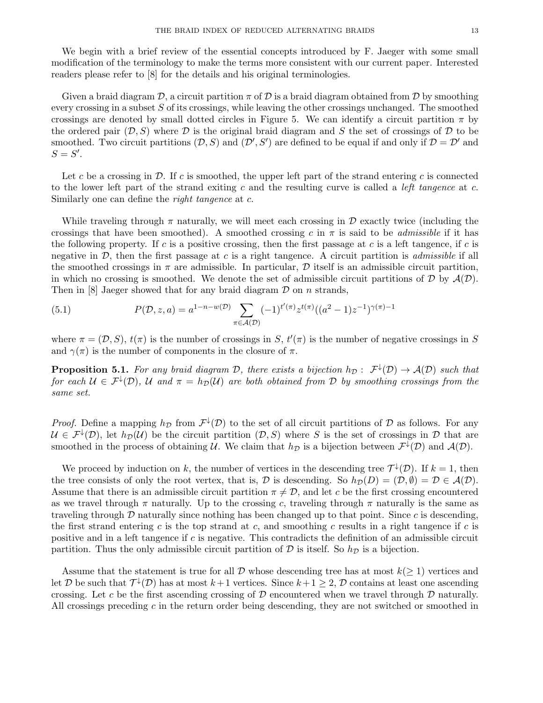We begin with a brief review of the essential concepts introduced by F. Jaeger with some small modification of the terminology to make the terms more consistent with our current paper. Interested readers please refer to [8] for the details and his original terminologies.

Given a braid diagram  $\mathcal{D}$ , a circuit partition  $\pi$  of  $\mathcal{D}$  is a braid diagram obtained from  $\mathcal{D}$  by smoothing every crossing in a subset  $S$  of its crossings, while leaving the other crossings unchanged. The smoothed crossings are denoted by small dotted circles in Figure 5. We can identify a circuit partition  $\pi$  by the ordered pair  $(D, S)$  where D is the original braid diagram and S the set of crossings of D to be smoothed. Two circuit partitions  $(D, S)$  and  $(D', S')$  are defined to be equal if and only if  $D = D'$  and  $S = S'.$ 

Let c be a crossing in  $\mathcal{D}$ . If c is smoothed, the upper left part of the strand entering c is connected to the lower left part of the strand exiting c and the resulting curve is called a *left tangence* at c. Similarly one can define the *right tangence* at c.

While traveling through  $\pi$  naturally, we will meet each crossing in  $\mathcal D$  exactly twice (including the crossings that have been smoothed). A smoothed crossing c in  $\pi$  is said to be *admissible* if it has the following property. If c is a positive crossing, then the first passage at c is a left tangence, if c is negative in  $\mathcal{D}$ , then the first passage at c is a right tangence. A circuit partition is *admissible* if all the smoothed crossings in  $\pi$  are admissible. In particular,  $\mathcal D$  itself is an admissible circuit partition, in which no crossing is smoothed. We denote the set of admissible circuit partitions of  $D$  by  $\mathcal{A}(D)$ . Then in  $[8]$  Jaeger showed that for any braid diagram  $\mathcal D$  on n strands,

(5.1) 
$$
P(\mathcal{D}, z, a) = a^{1-n-w(\mathcal{D})} \sum_{\pi \in \mathcal{A}(\mathcal{D})} (-1)^{t'(\pi)} z^{t(\pi)} ((a^2 - 1)z^{-1})^{\gamma(\pi)-1}
$$

where  $\pi = (\mathcal{D}, S)$ ,  $t(\pi)$  is the number of crossings in S,  $t'(\pi)$  is the number of negative crossings in S and  $\gamma(\pi)$  is the number of components in the closure of  $\pi$ .

**Proposition 5.1.** For any braid diagram D, there exists a bijection  $h_D: \mathcal{F}^{\downarrow}(D) \to \mathcal{A}(D)$  such that for each  $\mathcal{U} \in \mathcal{F}^{\downarrow}(\mathcal{D})$ ,  $\mathcal{U}$  and  $\pi = h_{\mathcal{D}}(\mathcal{U})$  are both obtained from  $\mathcal{D}$  by smoothing crossings from the same set.

*Proof.* Define a mapping  $h_{\mathcal{D}}$  from  $\mathcal{F}^{\downarrow}(\mathcal{D})$  to the set of all circuit partitions of  $\mathcal D$  as follows. For any  $\mathcal{U} \in \mathcal{F}^{\downarrow}(\mathcal{D})$ , let  $h_{\mathcal{D}}(\mathcal{U})$  be the circuit partition  $(\mathcal{D}, S)$  where S is the set of crossings in  $\mathcal{D}$  that are smoothed in the process of obtaining U. We claim that  $h_{\mathcal{D}}$  is a bijection between  $\mathcal{F}^{\downarrow}(\mathcal{D})$  and  $\mathcal{A}(\mathcal{D})$ .

We proceed by induction on k, the number of vertices in the descending tree  $\mathcal{T}^{\downarrow}(\mathcal{D})$ . If  $k = 1$ , then the tree consists of only the root vertex, that is, D is descending. So  $h_{\mathcal{D}}(D) = (\mathcal{D}, \emptyset) = \mathcal{D} \in \mathcal{A}(\mathcal{D})$ . Assume that there is an admissible circuit partition  $\pi \neq \mathcal{D}$ , and let c be the first crossing encountered as we travel through  $\pi$  naturally. Up to the crossing c, traveling through  $\pi$  naturally is the same as traveling through  $D$  naturally since nothing has been changed up to that point. Since c is descending, the first strand entering c is the top strand at c, and smoothing c results in a right tangence if c is positive and in a left tangence if  $c$  is negative. This contradicts the definition of an admissible circuit partition. Thus the only admissible circuit partition of  $\mathcal D$  is itself. So  $h_{\mathcal D}$  is a bijection.

Assume that the statement is true for all  $\mathcal D$  whose descending tree has at most  $k(\geq 1)$  vertices and let D be such that  $\mathcal{T}^{\downarrow}(\mathcal{D})$  has at most  $k+1$  vertices. Since  $k+1\geq 2$ , D contains at least one ascending crossing. Let c be the first ascending crossing of  $D$  encountered when we travel through  $D$  naturally. All crossings preceding c in the return order being descending, they are not switched or smoothed in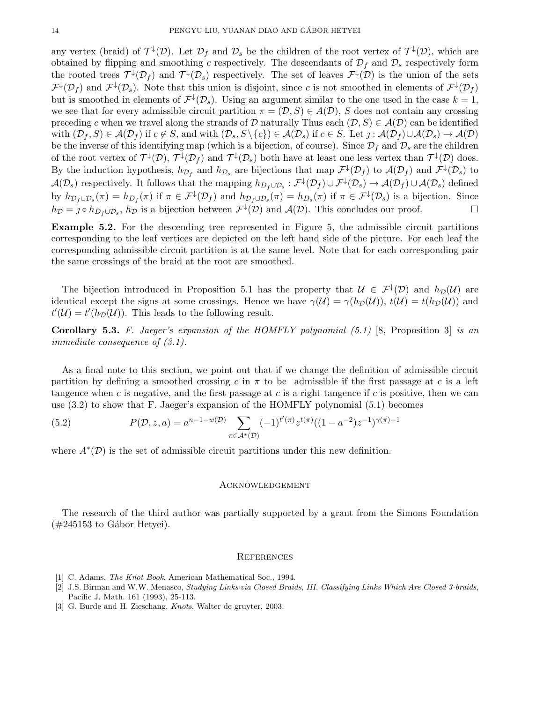any vertex (braid) of  $\mathcal{T}^{\downarrow}(\mathcal{D})$ . Let  $\mathcal{D}_f$  and  $\mathcal{D}_s$  be the children of the root vertex of  $\mathcal{T}^{\downarrow}(\mathcal{D})$ , which are obtained by flipping and smoothing c respectively. The descendants of  $\mathcal{D}_f$  and  $\mathcal{D}_s$  respectively form the rooted trees  $\mathcal{T}^{\downarrow}(\mathcal{D}_f)$  and  $\mathcal{T}^{\downarrow}(\mathcal{D}_s)$  respectively. The set of leaves  $\mathcal{F}^{\downarrow}(\mathcal{D})$  is the union of the sets  $\mathcal{F}^{\downarrow}(\mathcal{D}_f)$  and  $\mathcal{F}^{\downarrow}(\mathcal{D}_s)$ . Note that this union is disjoint, since c is not smoothed in elements of  $\mathcal{F}^{\downarrow}(\mathcal{D}_f)$ but is smoothed in elements of  $\mathcal{F}^{\downarrow}(\mathcal{D}_s)$ . Using an argument similar to the one used in the case  $k = 1$ , we see that for every admissible circuit partition  $\pi = (\mathcal{D}, S) \in A(\mathcal{D})$ , S does not contain any crossing preceding c when we travel along the strands of D naturally Thus each  $(D, S) \in \mathcal{A}(D)$  can be identified with  $(\mathcal{D}_f, S) \in \mathcal{A}(\mathcal{D}_f)$  if  $c \notin S$ , and with  $(\mathcal{D}_s, S \setminus \{c\}) \in \mathcal{A}(\mathcal{D}_s)$  if  $c \in S$ . Let  $j : \mathcal{A}(\mathcal{D}_f) \cup \mathcal{A}(\mathcal{D}_s) \to \mathcal{A}(\mathcal{D})$ be the inverse of this identifying map (which is a bijection, of course). Since  $\mathcal{D}_f$  and  $\mathcal{D}_s$  are the children of the root vertex of  $\mathcal{T}^{\downarrow}(\mathcal{D})$ ,  $\mathcal{T}^{\downarrow}(\mathcal{D}_f)$  and  $\mathcal{T}^{\downarrow}(\mathcal{D}_s)$  both have at least one less vertex than  $\mathcal{T}^{\downarrow}(\mathcal{D})$  does. By the induction hypothesis,  $h_{\mathcal{D}_f}$  and  $h_{\mathcal{D}_s}$  are bijections that map  $\mathcal{F}^{\downarrow}(\mathcal{D}_f)$  to  $\mathcal{A}(\mathcal{D}_f)$  and  $\mathcal{F}^{\downarrow}(\mathcal{D}_s)$  to  $\mathcal{A}(\mathcal{D}_s)$  respectively. It follows that the mapping  $h_{D_f \cup \mathcal{D}_s}: \mathcal{F}^{\downarrow}(\mathcal{D}_f) \cup \mathcal{F}^{\downarrow}(\mathcal{D}_s) \to \mathcal{A}(\mathcal{D}_f) \cup \mathcal{A}(\mathcal{D}_s)$  defined by  $h_{\mathcal{D}_f\cup\mathcal{D}_s}(\pi) = h_{D_f}(\pi)$  if  $\pi \in \mathcal{F}^{\downarrow}(\mathcal{D}_f)$  and  $h_{\mathcal{D}_f\cup\mathcal{D}_s}(\pi) = h_{D_s}(\pi)$  if  $\pi \in \mathcal{F}^{\downarrow}(\mathcal{D}_s)$  is a bijection. Since  $h_{\mathcal{D}} = j \circ h_{D_f \cup \mathcal{D}_s}$ ,  $h_{\mathcal{D}}$  is a bijection between  $\mathcal{F}^{\downarrow}(\mathcal{D})$  and  $\mathcal{A}(\mathcal{D})$ . This concludes our proof.

Example 5.2. For the descending tree represented in Figure 5, the admissible circuit partitions corresponding to the leaf vertices are depicted on the left hand side of the picture. For each leaf the corresponding admissible circuit partition is at the same level. Note that for each corresponding pair the same crossings of the braid at the root are smoothed.

The bijection introduced in Proposition 5.1 has the property that  $\mathcal{U} \in \mathcal{F}^{\downarrow}(\mathcal{D})$  and  $h_{\mathcal{D}}(\mathcal{U})$  are identical except the signs at some crossings. Hence we have  $\gamma(\mathcal{U}) = \gamma(h_{\mathcal{D}}(\mathcal{U}))$ ,  $t(\mathcal{U}) = t(h_{\mathcal{D}}(\mathcal{U}))$  and  $t'(\mathcal{U}) = t'(h_{\mathcal{D}}(\mathcal{U}))$ . This leads to the following result.

**Corollary 5.3.** F. Jaeger's expansion of the HOMFLY polynomial  $(5.1)$  [8, Proposition 3] is an immediate consequence of (3.1).

As a final note to this section, we point out that if we change the definition of admissible circuit partition by defining a smoothed crossing c in  $\pi$  to be admissible if the first passage at c is a left tangence when c is negative, and the first passage at c is a right tangence if c is positive, then we can use (3.2) to show that F. Jaeger's expansion of the HOMFLY polynomial (5.1) becomes

(5.2) 
$$
P(\mathcal{D}, z, a) = a^{n-1-w(\mathcal{D})} \sum_{\pi \in \mathcal{A}^*(\mathcal{D})} (-1)^{t'(\pi)} z^{t(\pi)} ((1 - a^{-2}) z^{-1})^{\gamma(\pi) - 1}
$$

where  $A^*(\mathcal{D})$  is the set of admissible circuit partitions under this new definition.

### **ACKNOWLEDGEMENT**

The research of the third author was partially supported by a grant from the Simons Foundation  $(\#245153 \text{ to Gábor Hetyei}).$ 

#### **REFERENCES**

- [1] C. Adams, *The Knot Book*, American Mathematical Soc., 1994.
- [2] J.S. Birman and W.W. Menasco, Studying Links via Closed Braids, III. Classifying Links Which Are Closed 3-braids, Pacific J. Math. 161 (1993), 25-113.
- [3] G. Burde and H. Zieschang, Knots, Walter de gruyter, 2003.